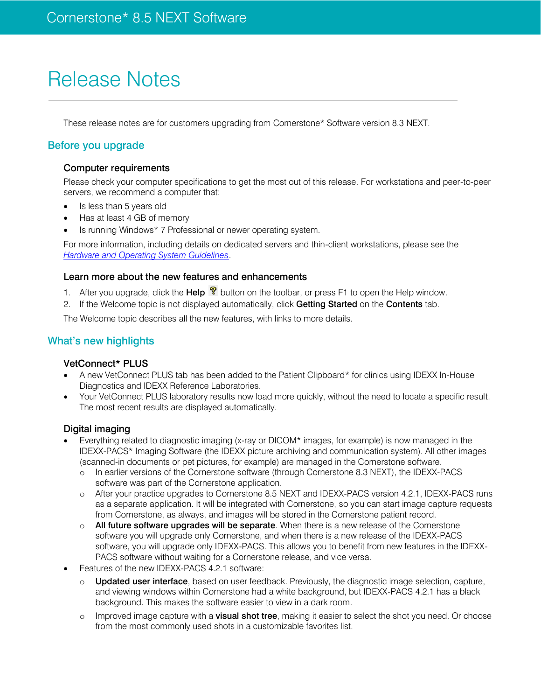# Release Notes

These release notes are for customers upgrading from Cornerstone\* Software version 8.3 NEXT.

# Before you upgrade

#### Computer requirements

Please check your computer specifications to get the most out of this release. For workstations and peer-to-peer servers, we recommend a computer that:

- Is less than 5 years old
- Has at least 4 GB of memory
- Is running Windows\* 7 Professional or newer operating system.

For more information, including details on dedicated servers and thin-client workstations, please see the *[Hardware and Operating System Guidelines](https://www.idexx.com/resource-library/smallanimal/cornerstone-hardware-guidelines.pdf)*.

#### Learn more about the new features and enhancements

1. After you upgrade, click the **Help**  $\mathbb{R}$  button on the toolbar, or press F1 to open the Help window.

2. If the Welcome topic is not displayed automatically, click Getting Started on the Contents tab.

The Welcome topic describes all the new features, with links to more details.

# What's new highlights

#### VetConnect\* PLUS

- A new VetConnect PLUS tab has been added to the Patient Clipboard\* for clinics using IDEXX In-House Diagnostics and IDEXX Reference Laboratories.
- Your VetConnect PLUS laboratory results now load more quickly, without the need to locate a specific result. The most recent results are displayed automatically.

#### Digital imaging

- Everything related to diagnostic imaging (x-ray or DICOM\* images, for example) is now managed in the IDEXX-PACS\* Imaging Software (the IDEXX picture archiving and communication system). All other images (scanned-in documents or pet pictures, for example) are managed in the Cornerstone software.
	- o In earlier versions of the Cornerstone software (through Cornerstone 8.3 NEXT), the IDEXX-PACS software was part of the Cornerstone application.
	- o After your practice upgrades to Cornerstone 8.5 NEXT and IDEXX-PACS version 4.2.1, IDEXX-PACS runs as a separate application. It will be integrated with Cornerstone, so you can start image capture requests from Cornerstone, as always, and images will be stored in the Cornerstone patient record.
	- $\circ$  All future software upgrades will be separate. When there is a new release of the Cornerstone software you will upgrade only Cornerstone, and when there is a new release of the IDEXX-PACS software, you will upgrade only IDEXX-PACS. This allows you to benefit from new features in the IDEXX-PACS software without waiting for a Cornerstone release, and vice versa.
- Features of the new IDEXX-PACS 4.2.1 software:
	- o Updated user interface, based on user feedback. Previously, the diagnostic image selection, capture, and viewing windows within Cornerstone had a white background, but IDEXX-PACS 4.2.1 has a black background. This makes the software easier to view in a dark room.
	- o Improved image capture with a visual shot tree, making it easier to select the shot you need. Or choose from the most commonly used shots in a customizable favorites list.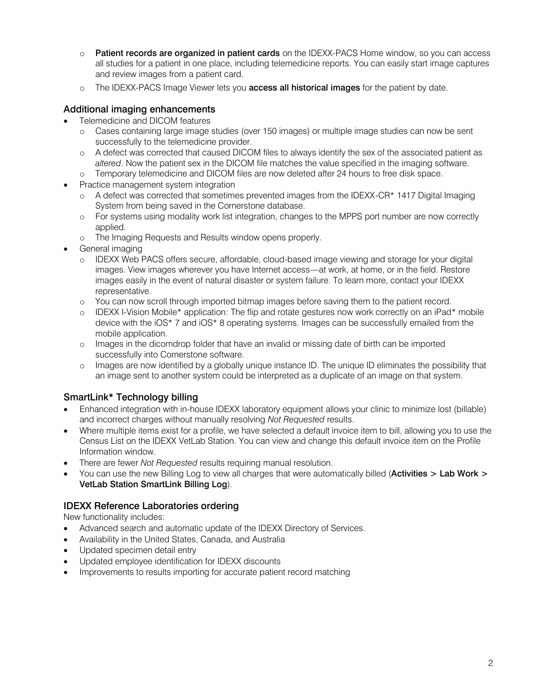- o Patient records are organized in patient cards on the IDEXX-PACS Home window, so you can access all studies for a patient in one place, including telemedicine reports. You can easily start image captures and review images from a patient card.
- o The IDEXX-PACS Image Viewer lets you **access all historical images** for the patient by date.

# Additional imaging enhancements

- Telemedicine and DICOM features
	- o Cases containing large image studies (over 150 images) or multiple image studies can now be sent successfully to the telemedicine provider.
	- o A defect was corrected that caused DICOM files to always identify the sex of the associated patient as *altered*. Now the patient sex in the DICOM file matches the value specified in the imaging software.
	- o Temporary telemedicine and DICOM files are now deleted after 24 hours to free disk space.
- Practice management system integration
	- A defect was corrected that sometimes prevented images from the IDEXX-CR\* 1417 Digital Imaging System from being saved in the Cornerstone database.
	- o For systems using modality work list integration, changes to the MPPS port number are now correctly applied.
	- o The Imaging Requests and Results window opens properly.
- General imaging
	- o IDEXX Web PACS offers secure, affordable, cloud-based image viewing and storage for your digital images. View images wherever you have Internet access—at work, at home, or in the field. Restore images easily in the event of natural disaster or system failure. To learn more, contact your IDEXX representative.
	- o You can now scroll through imported bitmap images before saving them to the patient record.
	- $\circ$  IDEXX I-Vision Mobile\* application: The flip and rotate gestures now work correctly on an iPad\* mobile device with the iOS\* 7 and iOS\* 8 operating systems. Images can be successfully emailed from the mobile application.
	- o Images in the dicomdrop folder that have an invalid or missing date of birth can be imported successfully into Cornerstone software.
	- o Images are now identified by a globally unique instance ID. The unique ID eliminates the possibility that an image sent to another system could be interpreted as a duplicate of an image on that system.

# SmartLink\* Technology billing

- Enhanced integration with in-house IDEXX laboratory equipment allows your clinic to minimize lost (billable) and incorrect charges without manually resolving *Not Requested* results.
- Where multiple items exist for a profile, we have selected a default invoice item to bill, allowing you to use the Census List on the IDEXX VetLab Station. You can view and change this default invoice item on the Profile Information window.
- There are fewer *Not Requested* results requiring manual resolution.
- You can use the new Billing Log to view all charges that were automatically billed (Activities > Lab Work > VetLab Station SmartLink Billing Log).

# IDEXX Reference Laboratories ordering

New functionality includes:

- Advanced search and automatic update of the IDEXX Directory of Services.
- Availability in the United States, Canada, and Australia
- Updated specimen detail entry
- Updated employee identification for IDEXX discounts
- Improvements to results importing for accurate patient record matching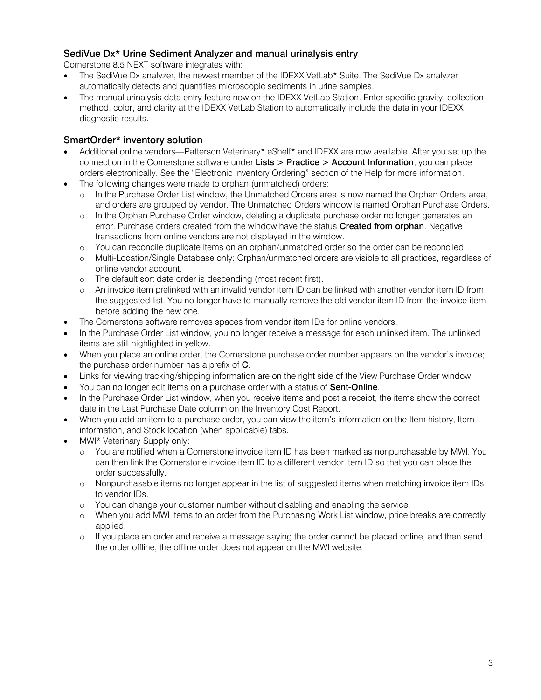# SediVue Dx\* Urine Sediment Analyzer and manual urinalysis entry

Cornerstone 8.5 NEXT software integrates with:

- The SediVue Dx analyzer, the newest member of the IDEXX VetLab\* Suite. The SediVue Dx analyzer automatically detects and quantifies microscopic sediments in urine samples.
- The manual urinalysis data entry feature now on the IDEXX VetLab Station. Enter specific gravity, collection method, color, and clarity at the IDEXX VetLab Station to automatically include the data in your IDEXX diagnostic results.

# SmartOrder\* inventory solution

- Additional online vendors—Patterson Veterinary\* eShelf\* and IDEXX are now available. After you set up the connection in the Cornerstone software under Lists > Practice > Account Information, you can place orders electronically. See the "Electronic Inventory Ordering" section of the Help for more information.
- The following changes were made to orphan (unmatched) orders:
	- o In the Purchase Order List window, the Unmatched Orders area is now named the Orphan Orders area, and orders are grouped by vendor. The Unmatched Orders window is named Orphan Purchase Orders.
	- o In the Orphan Purchase Order window, deleting a duplicate purchase order no longer generates an error. Purchase orders created from the window have the status **Created from orphan**. Negative transactions from online vendors are not displayed in the window.
	- o You can reconcile duplicate items on an orphan/unmatched order so the order can be reconciled.
	- o Multi-Location/Single Database only: Orphan/unmatched orders are visible to all practices, regardless of online vendor account.
	- o The default sort date order is descending (most recent first).
	- o An invoice item prelinked with an invalid vendor item ID can be linked with another vendor item ID from the suggested list. You no longer have to manually remove the old vendor item ID from the invoice item before adding the new one.
- The Cornerstone software removes spaces from vendor item IDs for online vendors.
- In the Purchase Order List window, you no longer receive a message for each unlinked item. The unlinked items are still highlighted in yellow.
- When you place an online order, the Cornerstone purchase order number appears on the vendor's invoice; the purchase order number has a prefix of C.
- Links for viewing tracking/shipping information are on the right side of the View Purchase Order window.
- You can no longer edit items on a purchase order with a status of **Sent-Online**.
- In the Purchase Order List window, when you receive items and post a receipt, the items show the correct date in the Last Purchase Date column on the Inventory Cost Report.
- When you add an item to a purchase order, you can view the item's information on the Item history, Item information, and Stock location (when applicable) tabs.
- MWI\* Veterinary Supply only:
	- o You are notified when a Cornerstone invoice item ID has been marked as nonpurchasable by MWI. You can then link the Cornerstone invoice item ID to a different vendor item ID so that you can place the order successfully.
	- o Nonpurchasable items no longer appear in the list of suggested items when matching invoice item IDs to vendor IDs.
	- o You can change your customer number without disabling and enabling the service.
	- o When you add MWI items to an order from the Purchasing Work List window, price breaks are correctly applied.
	- o If you place an order and receive a message saying the order cannot be placed online, and then send the order offline, the offline order does not appear on the MWI website.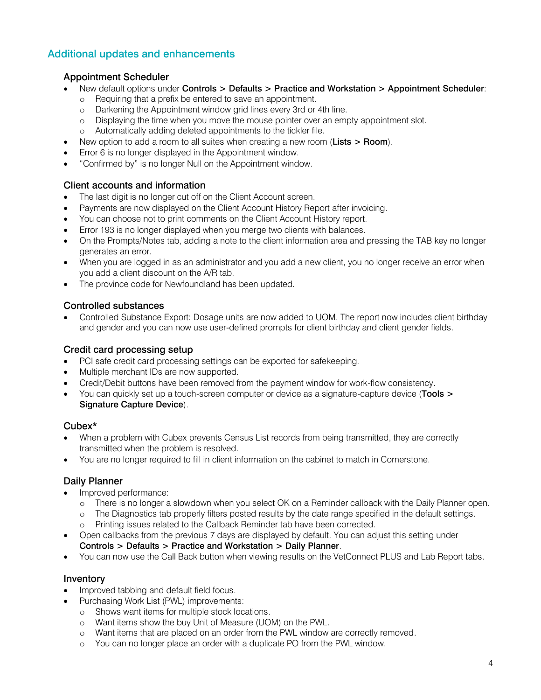# Additional updates and enhancements

# Appointment Scheduler

- New default options under Controls > Defaults > Practice and Workstation > Appointment Scheduler:
	- o Requiring that a prefix be entered to save an appointment.
	- o Darkening the Appointment window grid lines every 3rd or 4th line.
	- o Displaying the time when you move the mouse pointer over an empty appointment slot.
	- o Automatically adding deleted appointments to the tickler file.
- New option to add a room to all suites when creating a new room (Lists > Room).
- Error 6 is no longer displayed in the Appointment window.
- "Confirmed by" is no longer Null on the Appointment window.

# Client accounts and information

- The last digit is no longer cut off on the Client Account screen.
- Payments are now displayed on the Client Account History Report after invoicing.
- You can choose not to print comments on the Client Account History report.
- Error 193 is no longer displayed when you merge two clients with balances.
- On the Prompts/Notes tab, adding a note to the client information area and pressing the TAB key no longer generates an error.
- When you are logged in as an administrator and you add a new client, you no longer receive an error when you add a client discount on the A/R tab.
- The province code for Newfoundland has been updated.

#### Controlled substances

 Controlled Substance Export: Dosage units are now added to UOM. The report now includes client birthday and gender and you can now use user-defined prompts for client birthday and client gender fields.

# Credit card processing setup

- PCI safe credit card processing settings can be exported for safekeeping.
- Multiple merchant IDs are now supported.
- Credit/Debit buttons have been removed from the payment window for work-flow consistency.
- You can quickly set up a touch-screen computer or device as a signature-capture device (Tools > Signature Capture Device).

# Cubex\*

- When a problem with Cubex prevents Census List records from being transmitted, they are correctly transmitted when the problem is resolved.
- You are no longer required to fill in client information on the cabinet to match in Cornerstone.

# Daily Planner

- Improved performance:
	- o There is no longer a slowdown when you select OK on a Reminder callback with the Daily Planner open.
	- o The Diagnostics tab properly filters posted results by the date range specified in the default settings.
	- o Printing issues related to the Callback Reminder tab have been corrected.
- Open callbacks from the previous 7 days are displayed by default. You can adjust this setting under Controls > Defaults > Practice and Workstation > Daily Planner.
- You can now use the Call Back button when viewing results on the VetConnect PLUS and Lab Report tabs.

# Inventory

- Improved tabbing and default field focus.
- Purchasing Work List (PWL) improvements:
	- o Shows want items for multiple stock locations.
	- o Want items show the buy Unit of Measure (UOM) on the PWL.
	- o Want items that are placed on an order from the PWL window are correctly removed.
	- o You can no longer place an order with a duplicate PO from the PWL window.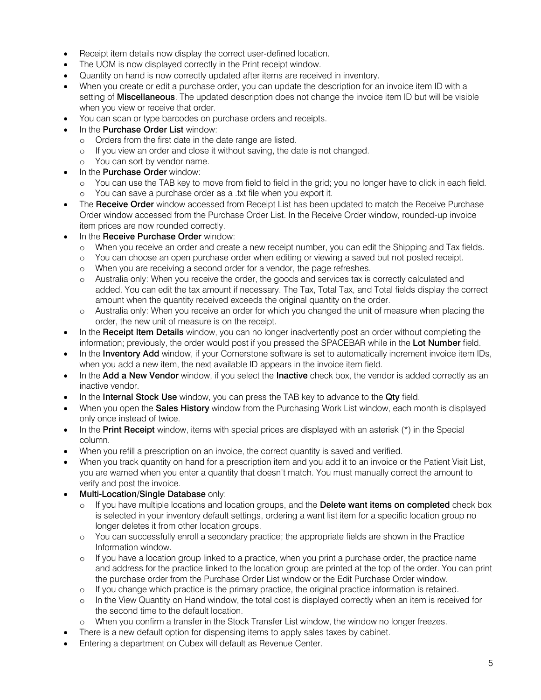- Receipt item details now display the correct user-defined location.
- The UOM is now displayed correctly in the Print receipt window.
- Quantity on hand is now correctly updated after items are received in inventory.
- When you create or edit a purchase order, you can update the description for an invoice item ID with a setting of Miscellaneous. The updated description does not change the invoice item ID but will be visible when you view or receive that order.
- You can scan or type barcodes on purchase orders and receipts.
- In the **Purchase Order List** window:
	- o Orders from the first date in the date range are listed.
	- o If you view an order and close it without saving, the date is not changed.
	- o You can sort by vendor name.
- In the **Purchase Order** window:
	- o You can use the TAB key to move from field to field in the grid; you no longer have to click in each field.
	- o You can save a purchase order as a .txt file when you export it.
- The Receive Order window accessed from Receipt List has been updated to match the Receive Purchase Order window accessed from the Purchase Order List. In the Receive Order window, rounded-up invoice item prices are now rounded correctly.
- In the Receive Purchase Order window:
	- o When you receive an order and create a new receipt number, you can edit the Shipping and Tax fields.
	- o You can choose an open purchase order when editing or viewing a saved but not posted receipt.
	- o When you are receiving a second order for a vendor, the page refreshes.
	- o Australia only: When you receive the order, the goods and services tax is correctly calculated and added. You can edit the tax amount if necessary. The Tax, Total Tax, and Total fields display the correct amount when the quantity received exceeds the original quantity on the order.
	- o Australia only: When you receive an order for which you changed the unit of measure when placing the order, the new unit of measure is on the receipt.
- In the Receipt Item Details window, you can no longer inadvertently post an order without completing the information; previously, the order would post if you pressed the SPACEBAR while in the Lot Number field.
- In the **Inventory Add** window, if your Cornerstone software is set to automatically increment invoice item IDs, when you add a new item, the next available ID appears in the invoice item field.
- In the Add a New Vendor window, if you select the Inactive check box, the vendor is added correctly as an inactive vendor.
- In the Internal Stock Use window, you can press the TAB key to advance to the Qty field.
- When you open the Sales History window from the Purchasing Work List window, each month is displayed only once instead of twice.
- $\bullet$  In the Print Receipt window, items with special prices are displayed with an asterisk  $(*)$  in the Special column.
- When you refill a prescription on an invoice, the correct quantity is saved and verified.
- When you track quantity on hand for a prescription item and you add it to an invoice or the Patient Visit List, you are warned when you enter a quantity that doesn't match. You must manually correct the amount to verify and post the invoice.
- Multi-Location/Single Database only:
	- $\circ$  If you have multiple locations and location groups, and the Delete want items on completed check box is selected in your inventory default settings, ordering a want list item for a specific location group no longer deletes it from other location groups.
	- o You can successfully enroll a secondary practice; the appropriate fields are shown in the Practice Information window.
	- o If you have a location group linked to a practice, when you print a purchase order, the practice name and address for the practice linked to the location group are printed at the top of the order. You can print the purchase order from the Purchase Order List window or the Edit Purchase Order window.
	- o If you change which practice is the primary practice, the original practice information is retained.
	- o In the View Quantity on Hand window, the total cost is displayed correctly when an item is received for the second time to the default location.
	- o When you confirm a transfer in the Stock Transfer List window, the window no longer freezes.
- There is a new default option for dispensing items to apply sales taxes by cabinet.
- Entering a department on Cubex will default as Revenue Center.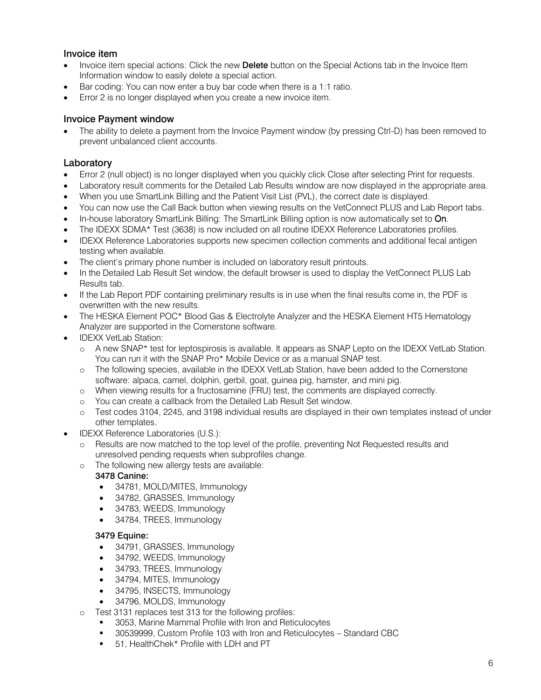# Invoice item

- Invoice item special actions: Click the new Delete button on the Special Actions tab in the Invoice Item Information window to easily delete a special action.
- Bar coding: You can now enter a buy bar code when there is a 1:1 ratio.
- Error 2 is no longer displayed when you create a new invoice item.

# Invoice Payment window

 The ability to delete a payment from the Invoice Payment window (by pressing Ctrl-D) has been removed to prevent unbalanced client accounts.

#### Laboratory

- Error 2 (null object) is no longer displayed when you quickly click Close after selecting Print for requests.
- Laboratory result comments for the Detailed Lab Results window are now displayed in the appropriate area.
- When you use SmartLink Billing and the Patient Visit List (PVL), the correct date is displayed.
- You can now use the Call Back button when viewing results on the VetConnect PLUS and Lab Report tabs.
- In-house laboratory SmartLink Billing: The SmartLink Billing option is now automatically set to On.
- The IDEXX SDMA\* Test (3638) is now included on all routine IDEXX Reference Laboratories profiles.
- IDEXX Reference Laboratories supports new specimen collection comments and additional fecal antigen testing when available.
- The client's primary phone number is included on laboratory result printouts.
- In the Detailed Lab Result Set window, the default browser is used to display the VetConnect PLUS Lab Results tab.
- If the Lab Report PDF containing preliminary results is in use when the final results come in, the PDF is overwritten with the new results.
- The HESKA Element POC\* Blood Gas & Electrolyte Analyzer and the HESKA Element HT5 Hematology Analyzer are supported in the Cornerstone software.
- IDEXX VetLab Station:
	- o A new SNAP\* test for leptospirosis is available. It appears as SNAP Lepto on the IDEXX VetLab Station. You can run it with the SNAP Pro\* Mobile Device or as a manual SNAP test.
	- o The following species, available in the IDEXX VetLab Station, have been added to the Cornerstone software: alpaca, camel, dolphin, gerbil, goat, guinea pig, hamster, and mini pig.
	- o When viewing results for a fructosamine (FRU) test, the comments are displayed correctly.
	- o You can create a callback from the Detailed Lab Result Set window.
	- o Test codes 3104, 2245, and 3198 individual results are displayed in their own templates instead of under other templates.
	- IDEXX Reference Laboratories (U.S.):
		- o Results are now matched to the top level of the profile, preventing Not Requested results and unresolved pending requests when subprofiles change.
		- o The following new allergy tests are available:

# 3478 Canine:

- 34781, MOLD/MITES, Immunology
- 34782, GRASSES, Immunology
- 34783, WEEDS, Immunology
- 34784, TREES, Immunology

#### 3479 Equine:

- 34791, GRASSES, Immunology
- 34792, WEEDS, Immunology
- 34793, TREES, Immunology
- 34794, MITES, Immunology
- 34795, INSECTS, Immunology
- 34796, MOLDS, Immunology
- o Test 3131 replaces test 313 for the following profiles:
	- 3053, Marine Mammal Profile with Iron and Reticulocytes
	- 30539999, Custom Profile 103 with Iron and Reticulocytes Standard CBC
	- 51, HealthChek\* Profile with LDH and PT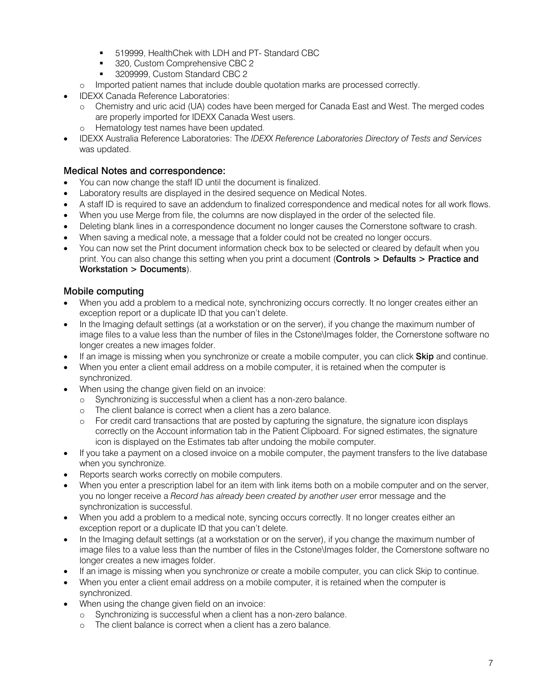- **519999, HealthChek with LDH and PT- Standard CBC**
- 320, Custom Comprehensive CBC 2
- 3209999, Custom Standard CBC 2
- o Imported patient names that include double quotation marks are processed correctly.
- IDEXX Canada Reference Laboratories:
	- o Chemistry and uric acid (UA) codes have been merged for Canada East and West. The merged codes are properly imported for IDEXX Canada West users.
	- o Hematology test names have been updated.
- IDEXX Australia Reference Laboratories: The *IDEXX Reference Laboratories Directory of Tests and Services*  was updated.

#### Medical Notes and correspondence:

- You can now change the staff ID until the document is finalized.
- Laboratory results are displayed in the desired sequence on Medical Notes.
- A staff ID is required to save an addendum to finalized correspondence and medical notes for all work flows.
- When you use Merge from file, the columns are now displayed in the order of the selected file.
- Deleting blank lines in a correspondence document no longer causes the Cornerstone software to crash.
- When saving a medical note, a message that a folder could not be created no longer occurs.
- You can now set the Print document information check box to be selected or cleared by default when you print. You can also change this setting when you print a document (Controls > Defaults > Practice and Workstation > Documents).

#### Mobile computing

- When you add a problem to a medical note, synchronizing occurs correctly. It no longer creates either an exception report or a duplicate ID that you can't delete.
- In the Imaging default settings (at a workstation or on the server), if you change the maximum number of image files to a value less than the number of files in the Cstone\Images folder, the Cornerstone software no longer creates a new images folder.
- If an image is missing when you synchronize or create a mobile computer, you can click **Skip** and continue.
- When you enter a client email address on a mobile computer, it is retained when the computer is synchronized.
- When using the change given field on an invoice:
	- o Synchronizing is successful when a client has a non-zero balance.
	- o The client balance is correct when a client has a zero balance.
	- o For credit card transactions that are posted by capturing the signature, the signature icon displays correctly on the Account information tab in the Patient Clipboard. For signed estimates, the signature icon is displayed on the Estimates tab after undoing the mobile computer.
- If you take a payment on a closed invoice on a mobile computer, the payment transfers to the live database when you synchronize.
- Reports search works correctly on mobile computers.
- When you enter a prescription label for an item with link items both on a mobile computer and on the server, you no longer receive a *Record has already been created by another user* error message and the synchronization is successful.
- When you add a problem to a medical note, syncing occurs correctly. It no longer creates either an exception report or a duplicate ID that you can't delete.
- In the Imaging default settings (at a workstation or on the server), if you change the maximum number of image files to a value less than the number of files in the Cstone\Images folder, the Cornerstone software no longer creates a new images folder.
- If an image is missing when you synchronize or create a mobile computer, you can click Skip to continue.
- When you enter a client email address on a mobile computer, it is retained when the computer is synchronized.
- When using the change given field on an invoice:
	- o Synchronizing is successful when a client has a non-zero balance.
	- o The client balance is correct when a client has a zero balance.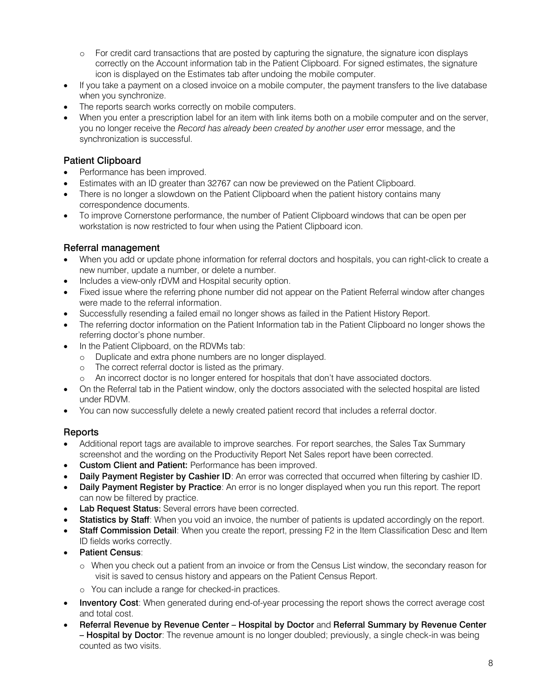- o For credit card transactions that are posted by capturing the signature, the signature icon displays correctly on the Account information tab in the Patient Clipboard. For signed estimates, the signature icon is displayed on the Estimates tab after undoing the mobile computer.
- If you take a payment on a closed invoice on a mobile computer, the payment transfers to the live database when you synchronize.
- The reports search works correctly on mobile computers.
- When you enter a prescription label for an item with link items both on a mobile computer and on the server, you no longer receive the *Record has already been created by another user* error message, and the synchronization is successful.

# Patient Clipboard

- Performance has been improved.
- Estimates with an ID greater than 32767 can now be previewed on the Patient Clipboard.
- There is no longer a slowdown on the Patient Clipboard when the patient history contains many correspondence documents.
- To improve Cornerstone performance, the number of Patient Clipboard windows that can be open per workstation is now restricted to four when using the Patient Clipboard icon.

# Referral management

- When you add or update phone information for referral doctors and hospitals, you can right-click to create a new number, update a number, or delete a number.
- Includes a view-only rDVM and Hospital security option.
- Fixed issue where the referring phone number did not appear on the Patient Referral window after changes were made to the referral information.
- Successfully resending a failed email no longer shows as failed in the Patient History Report.
- The referring doctor information on the Patient Information tab in the Patient Clipboard no longer shows the referring doctor's phone number.
- In the Patient Clipboard, on the RDVMs tab:
	- o Duplicate and extra phone numbers are no longer displayed.
	- o The correct referral doctor is listed as the primary.
	- o An incorrect doctor is no longer entered for hospitals that don't have associated doctors.
- On the Referral tab in the Patient window, only the doctors associated with the selected hospital are listed under RDVM.
- You can now successfully delete a newly created patient record that includes a referral doctor.

# Reports

- Additional report tags are available to improve searches. For report searches, the Sales Tax Summary screenshot and the wording on the Productivity Report Net Sales report have been corrected.
- Custom Client and Patient: Performance has been improved.
- Daily Payment Register by Cashier ID: An error was corrected that occurred when filtering by cashier ID.
- Daily Payment Register by Practice: An error is no longer displayed when you run this report. The report can now be filtered by practice.
- Lab Request Status: Several errors have been corrected.
- Statistics by Staff: When you void an invoice, the number of patients is updated accordingly on the report.
- Staff Commission Detail: When you create the report, pressing F2 in the Item Classification Desc and Item ID fields works correctly.
- Patient Census:
	- o When you check out a patient from an invoice or from the Census List window, the secondary reason for visit is saved to census history and appears on the Patient Census Report.
	- o You can include a range for checked-in practices.
- Inventory Cost: When generated during end-of-year processing the report shows the correct average cost and total cost.
- Referral Revenue by Revenue Center Hospital by Doctor and Referral Summary by Revenue Center – Hospital by Doctor: The revenue amount is no longer doubled; previously, a single check-in was being counted as two visits.